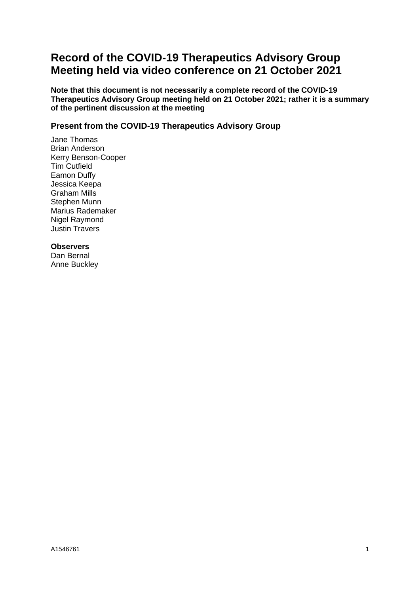# **Record of the COVID-19 Therapeutics Advisory Group Meeting held via video conference on 21 October 2021**

**Note that this document is not necessarily a complete record of the COVID-19 Therapeutics Advisory Group meeting held on 21 October 2021; rather it is a summary of the pertinent discussion at the meeting**

### **Present from the COVID-19 Therapeutics Advisory Group**

Jane Thomas Brian Anderson Kerry Benson-Cooper Tim Cutfield Eamon Duffy Jessica Keepa Graham Mills Stephen Munn Marius Rademaker Nigel Raymond Justin Travers

### **Observers**

Dan Bernal Anne Buckley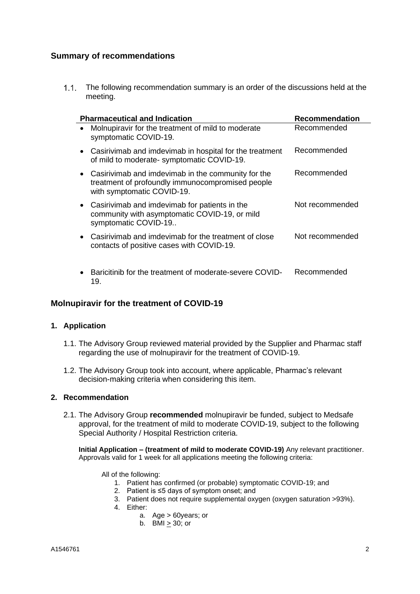### **Summary of recommendations**

1.1. The following recommendation summary is an order of the discussions held at the meeting.

| <b>Pharmaceutical and Indication</b>                                                                                                              | <b>Recommendation</b> |
|---------------------------------------------------------------------------------------------------------------------------------------------------|-----------------------|
| Molnupiravir for the treatment of mild to moderate<br>$\bullet$<br>symptomatic COVID-19.                                                          | Recommended           |
| Casirivimab and imdevimab in hospital for the treatment<br>٠<br>of mild to moderate-symptomatic COVID-19.                                         | Recommended           |
| Casirivimab and imdevimab in the community for the<br>$\bullet$<br>treatment of profoundly immunocompromised people<br>with symptomatic COVID-19. | Recommended           |
| Casirivimab and imdevimab for patients in the<br>$\bullet$<br>community with asymptomatic COVID-19, or mild<br>symptomatic COVID-19               | Not recommended       |
| Casirivimab and imdevimab for the treatment of close<br>contacts of positive cases with COVID-19.                                                 | Not recommended       |
| Baricitinib for the treatment of moderate-severe COVID-<br>19.                                                                                    | Recommended           |

### **Molnupiravir for the treatment of COVID-19**

#### **1. Application**

- 1.1. The Advisory Group reviewed material provided by the Supplier and Pharmac staff regarding the use of molnupiravir for the treatment of COVID-19.
- 1.2. The Advisory Group took into account, where applicable, Pharmac's relevant decision-making criteria when considering this item.

#### **2. Recommendation**

2.1. The Advisory Group **recommended** molnupiravir be funded, subject to Medsafe approval, for the treatment of mild to moderate COVID-19, subject to the following Special Authority / Hospital Restriction criteria.

**Initial Application – (treatment of mild to moderate COVID-19)** Any relevant practitioner. Approvals valid for 1 week for all applications meeting the following criteria:

All of the following:

- 1. Patient has confirmed (or probable) symptomatic COVID-19; and
- 2. Patient is ≤5 days of symptom onset; and
- 3. Patient does not require supplemental oxygen (oxygen saturation >93%).
- 4. Either:
	- a. Age > 60years; or
	- b. BMI  $> 30$ ; or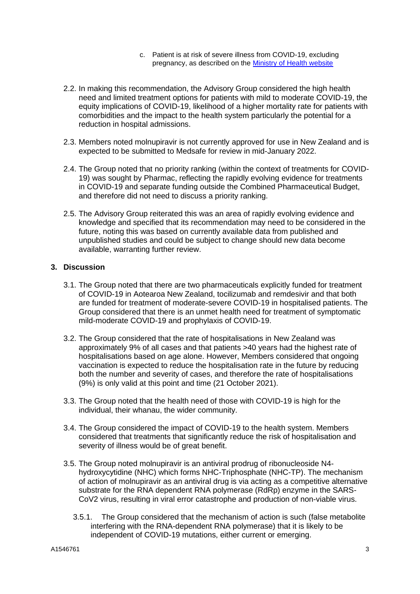- c. Patient is at risk of severe illness from COVID-19, excluding pregnancy, as described on the [Ministry of Health website](https://www.health.govt.nz/our-work/diseases-and-conditions/covid-19-novel-coronavirus/covid-19-information-specific-audiences/covid-19-advice-higher-risk-people)
- 2.2. In making this recommendation, the Advisory Group considered the high health need and limited treatment options for patients with mild to moderate COVID-19, the equity implications of COVID-19, likelihood of a higher mortality rate for patients with comorbidities and the impact to the health system particularly the potential for a reduction in hospital admissions.
- 2.3. Members noted molnupiravir is not currently approved for use in New Zealand and is expected to be submitted to Medsafe for review in mid-January 2022.
- 2.4. The Group noted that no priority ranking (within the context of treatments for COVID-19) was sought by Pharmac, reflecting the rapidly evolving evidence for treatments in COVID-19 and separate funding outside the Combined Pharmaceutical Budget, and therefore did not need to discuss a priority ranking.
- 2.5. The Advisory Group reiterated this was an area of rapidly evolving evidence and knowledge and specified that its recommendation may need to be considered in the future, noting this was based on currently available data from published and unpublished studies and could be subject to change should new data become available, warranting further review.

#### **3. Discussion**

- 3.1. The Group noted that there are two pharmaceuticals explicitly funded for treatment of COVID-19 in Aotearoa New Zealand, tocilizumab and remdesivir and that both are funded for treatment of moderate-severe COVID-19 in hospitalised patients. The Group considered that there is an unmet health need for treatment of symptomatic mild-moderate COVID-19 and prophylaxis of COVID-19.
- 3.2. The Group considered that the rate of hospitalisations in New Zealand was approximately 9% of all cases and that patients >40 years had the highest rate of hospitalisations based on age alone. However, Members considered that ongoing vaccination is expected to reduce the hospitalisation rate in the future by reducing both the number and severity of cases, and therefore the rate of hospitalisations (9%) is only valid at this point and time (21 October 2021).
- 3.3. The Group noted that the health need of those with COVID-19 is high for the individual, their whanau, the wider community.
- 3.4. The Group considered the impact of COVID-19 to the health system. Members considered that treatments that significantly reduce the risk of hospitalisation and severity of illness would be of great benefit.
- 3.5. The Group noted molnupiravir is an antiviral prodrug of ribonucleoside N4 hydroxycytidine (NHC) which forms NHC-Triphosphate (NHC-TP). The mechanism of action of molnupiravir as an antiviral drug is via acting as a competitive alternative substrate for the RNA dependent RNA polymerase (RdRp) enzyme in the SARS-CoV2 virus, resulting in viral error catastrophe and production of non-viable virus.
	- 3.5.1. The Group considered that the mechanism of action is such (false metabolite interfering with the RNA-dependent RNA polymerase) that it is likely to be independent of COVID-19 mutations, either current or emerging.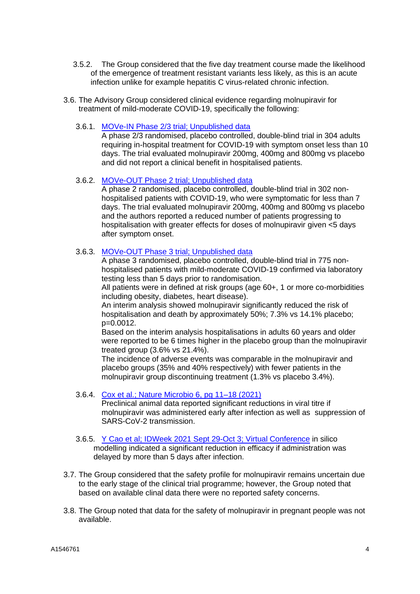- 3.5.2. The Group considered that the five day treatment course made the likelihood of the emergence of treatment resistant variants less likely, as this is an acute infection unlike for example hepatitis C virus-related chronic infection.
- 3.6. The Advisory Group considered clinical evidence regarding molnupiravir for treatment of mild-moderate COVID-19, specifically the following:
	- 3.6.1. [MOVe-IN Phase 2/3 trial; Unpublished data](https://clinicaltrials.gov/ct2/show/record/NCT04575584)

A phase 2/3 randomised, placebo controlled, double-blind trial in 304 adults requiring in-hospital treatment for COVID-19 with symptom onset less than 10 days. The trial evaluated molnupiravir 200mg, 400mg and 800mg vs placebo and did not report a clinical benefit in hospitalised patients.

#### 3.6.2. [MOVe-OUT Phase 2 trial; Unpublished data](https://clinicaltrials.gov/ct2/show/record/NCT04575597)

A phase 2 randomised, placebo controlled, double-blind trial in 302 nonhospitalised patients with COVID-19, who were symptomatic for less than 7 days. The trial evaluated molnupiravir 200mg, 400mg and 800mg vs placebo and the authors reported a reduced number of patients progressing to hospitalisation with greater effects for doses of molnupiravir given <5 days after symptom onset.

### 3.6.3. [MOVe-OUT Phase 3 trial; Unpublished data](https://clinicaltrials.gov/ct2/show/record/NCT04575597)

A phase 3 randomised, placebo controlled, double-blind trial in 775 nonhospitalised patients with mild-moderate COVID-19 confirmed via laboratory testing less than 5 days prior to randomisation.

All patients were in defined at risk groups (age 60+, 1 or more co-morbidities including obesity, diabetes, heart disease).

An interim analysis showed molnupiravir significantly reduced the risk of hospitalisation and death by approximately 50%; 7.3% vs 14.1% placebo; p=0.0012.

Based on the interim analysis hospitalisations in adults 60 years and older were reported to be 6 times higher in the placebo group than the molnupiravir treated group (3.6% vs 21.4%).

The incidence of adverse events was comparable in the molnupiravir and placebo groups (35% and 40% respectively) with fewer patients in the molnupiravir group discontinuing treatment (1.3% vs placebo 3.4%).

3.6.4. [Cox et al.; Nature Microbio 6, pg 11–18 \(2021\)](https://www.nature.com/articles/s41564-020-00835-2)

Preclinical animal data reported significant reductions in viral titre if molnupiravir was administered early after infection as well as suppression of SARS-CoV-2 transmission.

- 3.6.5. [Y Cao et al; IDWeek 2021 Sept 29-Oct 3; Virtual Conference](https://www.natap.org/2021/IDWeek/IDWeek_23.htm) in silico modelling indicated a significant reduction in efficacy if administration was delayed by more than 5 days after infection.
- 3.7. The Group considered that the safety profile for molnupiravir remains uncertain due to the early stage of the clinical trial programme; however, the Group noted that based on available clinal data there were no reported safety concerns.
- 3.8. The Group noted that data for the safety of molnupiravir in pregnant people was not available.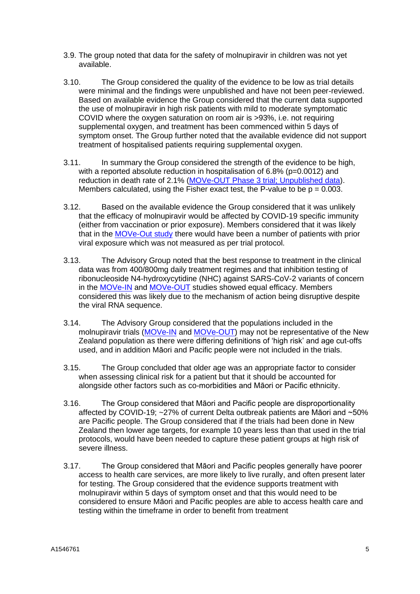- 3.9. The group noted that data for the safety of molnupiravir in children was not yet available.
- 3.10. The Group considered the quality of the evidence to be low as trial details were minimal and the findings were unpublished and have not been peer-reviewed. Based on available evidence the Group considered that the current data supported the use of molnupiravir in high risk patients with mild to moderate symptomatic COVID where the oxygen saturation on room air is >93%, i.e. not requiring supplemental oxygen, and treatment has been commenced within 5 days of symptom onset. The Group further noted that the available evidence did not support treatment of hospitalised patients requiring supplemental oxygen.
- 3.11. In summary the Group considered the strength of the evidence to be high, with a reported absolute reduction in hospitalisation of 6.8% (p=0.0012) and reduction in death rate of 2.1% [\(MOVe-OUT Phase 3 trial; Unpublished data\)](https://clinicaltrials.gov/ct2/show/record/NCT04575597). Members calculated, using the Fisher exact test, the P-value to be  $p = 0.003$ .
- 3.12. Based on the available evidence the Group considered that it was unlikely that the efficacy of molnupiravir would be affected by COVID-19 specific immunity (either from vaccination or prior exposure). Members considered that it was likely that in the [MOVe-Out study](https://clinicaltrials.gov/ct2/show/record/NCT04575597) there would have been a number of patients with prior viral exposure which was not measured as per trial protocol.
- 3.13. The Advisory Group noted that the best response to treatment in the clinical data was from 400/800mg daily treatment regimes and that inhibition testing of ribonucleoside N4-hydroxycytidine (NHC) against SARS-CoV-2 variants of concern in the [MOVe-IN](https://clinicaltrials.gov/ct2/show/record/NCT04575584) and [MOVe-OUT](https://clinicaltrials.gov/ct2/show/record/NCT04575597) studies showed equal efficacy. Members considered this was likely due to the mechanism of action being disruptive despite the viral RNA sequence.
- 3.14. The Advisory Group considered that the populations included in the molnupiravir trials [\(MOVe-IN](https://clinicaltrials.gov/ct2/show/record/NCT04575584) and [MOVe-OUT\)](https://clinicaltrials.gov/ct2/show/record/NCT04575597) may not be representative of the New Zealand population as there were differing definitions of 'high risk' and age cut-offs used, and in addition Māori and Pacific people were not included in the trials.
- 3.15. The Group concluded that older age was an appropriate factor to consider when assessing clinical risk for a patient but that it should be accounted for alongside other factors such as co-morbidities and Māori or Pacific ethnicity.
- 3.16. The Group considered that Māori and Pacific people are disproportionality affected by COVID-19; ~27% of current Delta outbreak patients are Māori and ~50% are Pacific people. The Group considered that if the trials had been done in New Zealand then lower age targets, for example 10 years less than that used in the trial protocols, would have been needed to capture these patient groups at high risk of severe illness.
- 3.17. The Group considered that Māori and Pacific peoples generally have poorer access to health care services, are more likely to live rurally, and often present later for testing. The Group considered that the evidence supports treatment with molnupiravir within 5 days of symptom onset and that this would need to be considered to ensure Māori and Pacific peoples are able to access health care and testing within the timeframe in order to benefit from treatment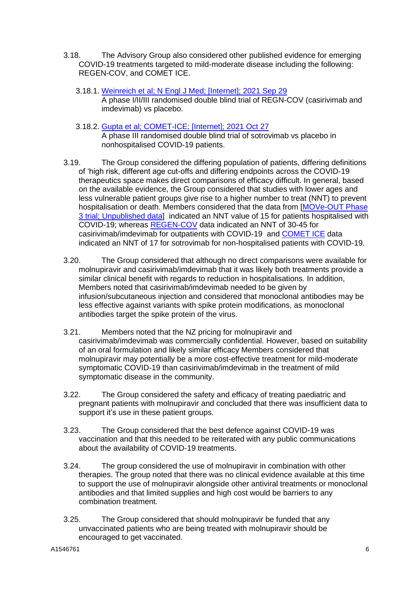- 3.18. The Advisory Group also considered other published evidence for emerging COVID-19 treatments targeted to mild-moderate disease including the following: REGEN-COV, and COMET ICE.
	- 3.18.1. [Weinreich et al; N Engl J Med; \[Internet\]; 2021 Sep 29](https://pubmed.ncbi.nlm.nih.gov/34587383/)
		- A phase I/II/III randomised double blind trial of REGN-COV (casirivimab and imdevimab) vs placebo.
	- 3.18.2. [Gupta et al; COMET-ICE; \[Internet\]; 2021 Oct 27](https://www.nejm.org/doi/full/10.1056/NEJMoa2107934) A phase III randomised double blind trial of sotrovimab vs placebo in
- nonhospitalised COVID-19 patients. 3.19. The Group considered the differing population of patients, differing definitions of 'high risk, different age cut-offs and differing endpoints across the COVID-19 therapeutics space makes direct comparisons of efficacy difficult. In general, based on the available evidence, the Group considered that studies with lower ages and less vulnerable patient groups give rise to a higher number to treat (NNT) to prevent hospitalisation or death. Members considered that the data from [\[MOVe-OUT Phase](https://clinicaltrials.gov/ct2/show/record/NCT04575597)  [3 trial; Unpublished data\]](https://clinicaltrials.gov/ct2/show/record/NCT04575597) indicated an NNT value of 15 for patients hospitalised with

COVID-19; whereas [REGEN-COV](https://pubmed.ncbi.nlm.nih.gov/34587383/) data indicated an NNT of 30-45 for casirivimab/imdevimab for outpatients with COVID-19 and [COMET ICE](https://www.nejm.org/doi/full/10.1056/NEJMoa2107934) data indicated an NNT of 17 for sotrovimab for non-hospitalised patients with COVID-19.

- 3.20. The Group considered that although no direct comparisons were available for molnupiravir and casirivimab/imdevimab that it was likely both treatments provide a similar clinical benefit with regards to reduction in hospitalisations. In addition, Members noted that casirivimab/imdevimab needed to be given by infusion/subcutaneous injection and considered that monoclonal antibodies may be less effective against variants with spike protein modifications, as monoclonal antibodies target the spike protein of the virus.
- 3.21. Members noted that the NZ pricing for molnupiravir and casirivimab/imdevimab was commercially confidential. However, based on suitability of an oral formulation and likely similar efficacy Members considered that molnupiravir may potentially be a more cost-effective treatment for mild-moderate symptomatic COVID-19 than casirivimab/imdevimab in the treatment of mild symptomatic disease in the community.
- 3.22. The Group considered the safety and efficacy of treating paediatric and pregnant patients with molnupiravir and concluded that there was insufficient data to support it's use in these patient groups.
- 3.23. The Group considered that the best defence against COVID-19 was vaccination and that this needed to be reiterated with any public communications about the availability of COVID-19 treatments.
- 3.24. The group considered the use of molnupiravir in combination with other therapies. The group noted that there was no clinical evidence available at this time to support the use of molnupiravir alongside other antiviral treatments or monoclonal antibodies and that limited supplies and high cost would be barriers to any combination treatment.
- 3.25. The Group considered that should molnupiravir be funded that any unvaccinated patients who are being treated with molnupiravir should be encouraged to get vaccinated.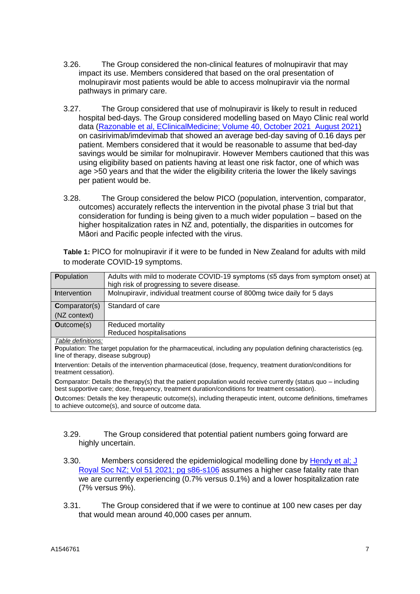- 3.26. The Group considered the non-clinical features of molnupiravir that may impact its use. Members considered that based on the oral presentation of molnupiravir most patients would be able to access molnupiravir via the normal pathways in primary care.
- 3.27. The Group considered that use of molnupiravir is likely to result in reduced hospital bed-days. The Group considered modelling based on Mayo Clinic real world data (Razonable et al, EClinicalMedicine; [Volume 40, October 2021 August 2021\)](https://doi.org/10.1016/j.eclinm.2021.101102) on casirivimab/imdevimab that showed an average bed-day saving of 0.16 days per patient. Members considered that it would be reasonable to assume that bed-day savings would be similar for molnupiravir. However Members cautioned that this was using eligibility based on patients having at least one risk factor, one of which was age >50 years and that the wider the eligibility criteria the lower the likely savings per patient would be.
- 3.28. The Group considered the below PICO (population, intervention, comparator, outcomes) accurately reflects the intervention in the pivotal phase 3 trial but that consideration for funding is being given to a much wider population – based on the higher hospitalization rates in NZ and, potentially, the disparities in outcomes for Māori and Pacific people infected with the virus.

**Table 1:** PICO for molnupiravir if it were to be funded in New Zealand for adults with mild to moderate COVID-19 symptoms.

| <b>Population</b>                                                                                                | Adults with mild to moderate COVID-19 symptoms (≤5 days from symptom onset) at<br>high risk of progressing to severe disease. |  |
|------------------------------------------------------------------------------------------------------------------|-------------------------------------------------------------------------------------------------------------------------------|--|
| Intervention                                                                                                     | Molnupiravir, individual treatment course of 800mg twice daily for 5 days                                                     |  |
| <b>Comparator(s)</b>                                                                                             | Standard of care                                                                                                              |  |
| (NZ context)                                                                                                     |                                                                                                                               |  |
| <b>Outcome(s)</b>                                                                                                | Reduced mortality                                                                                                             |  |
|                                                                                                                  | Reduced hospitalisations                                                                                                      |  |
| Table definitions:                                                                                               |                                                                                                                               |  |
| Population: The target population for the pharmaceutical, including any population defining characteristics (eg. |                                                                                                                               |  |
| line of therapy, disease subgroup)                                                                               |                                                                                                                               |  |
| Intervention: Details of the intervention pharmaceutical (dose frequency treatment duration/conditions for       |                                                                                                                               |  |

**I**ntervention: Details of the intervention pharmaceutical (dose, frequency, treatment duration/conditions for treatment cessation).

**C**omparator: Details the therapy(s) that the patient population would receive currently (status quo – including best supportive care; dose, frequency, treatment duration/conditions for treatment cessation).

**O**utcomes: Details the key therapeutic outcome(s), including therapeutic intent, outcome definitions, timeframes to achieve outcome(s), and source of outcome data.

- 3.29. The Group considered that potential patient numbers going forward are highly uncertain.
- 3.30. Members considered the epidemiological modelling done by [Hendy et al; J](https://www.tandfonline.com/doi/full/10.1080/03036758.2021.1876111)  [Royal Soc NZ; Vol 51 2021; pg s86-s106](https://www.tandfonline.com/doi/full/10.1080/03036758.2021.1876111) assumes a higher case fatality rate than we are currently experiencing (0.7% versus 0.1%) and a lower hospitalization rate (7% versus 9%).
- 3.31. The Group considered that if we were to continue at 100 new cases per day that would mean around 40,000 cases per annum.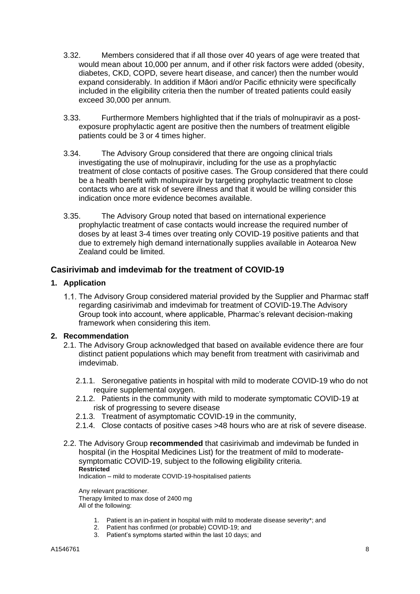- 3.32. Members considered that if all those over 40 years of age were treated that would mean about 10,000 per annum, and if other risk factors were added (obesity, diabetes, CKD, COPD, severe heart disease, and cancer) then the number would expand considerably. In addition if Māori and/or Pacific ethnicity were specifically included in the eligibility criteria then the number of treated patients could easily exceed 30,000 per annum.
- 3.33. Furthermore Members highlighted that if the trials of molnupiravir as a postexposure prophylactic agent are positive then the numbers of treatment eligible patients could be 3 or 4 times higher.
- 3.34. The Advisory Group considered that there are ongoing clinical trials investigating the use of molnupiravir, including for the use as a prophylactic treatment of close contacts of positive cases. The Group considered that there could be a health benefit with molnupiravir by targeting prophylactic treatment to close contacts who are at risk of severe illness and that it would be willing consider this indication once more evidence becomes available.
- 3.35. The Advisory Group noted that based on international experience prophylactic treatment of case contacts would increase the required number of doses by at least 3-4 times over treating only COVID-19 positive patients and that due to extremely high demand internationally supplies available in Aotearoa New Zealand could be limited.

### **Casirivimab and imdevimab for the treatment of COVID-19**

#### **1. Application**

1.1. The Advisory Group considered material provided by the Supplier and Pharmac staff regarding casirivimab and imdevimab for treatment of COVID-19.The Advisory Group took into account, where applicable, Pharmac's relevant decision-making framework when considering this item.

#### **2. Recommendation**

- 2.1. The Advisory Group acknowledged that based on available evidence there are four distinct patient populations which may benefit from treatment with casirivimab and imdevimab.
	- 2.1.1. Seronegative patients in hospital with mild to moderate COVID-19 who do not require supplemental oxygen.
	- 2.1.2. Patients in the community with mild to moderate symptomatic COVID-19 at risk of progressing to severe disease
	- 2.1.3. Treatment of asymptomatic COVID-19 in the community,
	- 2.1.4. Close contacts of positive cases >48 hours who are at risk of severe disease.
- 2.2. The Advisory Group **recommended** that casirivimab and imdevimab be funded in hospital (in the Hospital Medicines List) for the treatment of mild to moderatesymptomatic COVID-19, subject to the following eligibility criteria. **Restricted**

Indication – mild to moderate COVID-19-hospitalised patients

Any relevant practitioner. Therapy limited to max dose of 2400 mg All of the following:

- 1. Patient is an in-patient in hospital with mild to moderate disease severity\*; and
- 2. Patient has confirmed (or probable) COVID-19; and
- 3. Patient's symptoms started within the last 10 days; and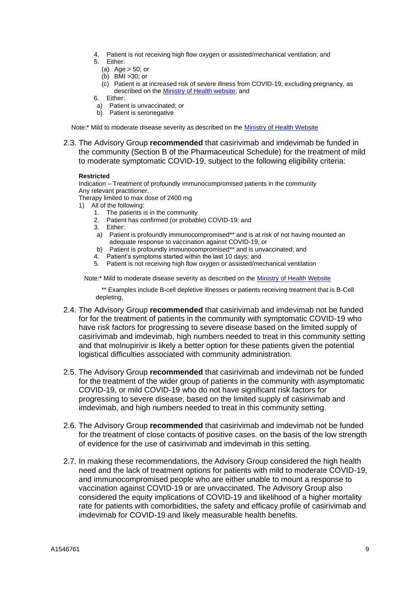- 4. Patient is not receiving high flow oxygen or assisted/mechanical ventilation; and 5. Either:
	- (a) Age > 50; or
	- (b) BMI >30; or
	- (c) Patient is at increased risk of severe illness from COVID-19, excluding pregnancy, as described on the [Ministry of Health website;](https://www.health.govt.nz/our-work/diseases-and-conditions/covid-19-novel-coronavirus/covid-19-information-specific-audiences/covid-19-advice-higher-risk-people) and
- 6. Either:
- a) Patient is unvaccinated; or
- b) Patient is seronegative

Note:\* Mild to moderate disease severity as described on the [Ministry of Health Website](https://www.health.govt.nz/system/files/documents/pages/clinical_management_of_covid-19_in_hospitalised_adults.pdf)

2.3. The Advisory Group **recommended** that casirivimab and imdevimab be funded in the community (Section B of the Pharmaceutical Schedule) for the treatment of mild to moderate symptomatic COVID-19, subject to the following eligibility criteria:

#### **Restricted**

Indication – Treatment of profoundly immunocompromised patients in the community Any relevant practitioner.

Therapy limited to max dose of 2400 mg

- 1) All of the following:
	- 1. The patients is in the community
	- 2. Patient has confirmed (or probable) COVID-19; and
	- 3. Either:
	- a) Patient is profoundly immunocompromised\*\* and is at risk of not having mounted an adequate response to vaccination against COVID-19, or
	- adequate response to vacuitation against COVID-13, or<br>b) Patient is profoundly immunocompromised\*\* and is unvaccinated; and
	- 4. Patient's symptoms started within the last 10 days; and
	- 5. Patient is not receiving high flow oxygen or assisted/mechanical ventilation

Note:\* Mild to moderate disease severity as described on the [Ministry of Health Website](https://www.health.govt.nz/system/files/documents/pages/clinical_management_of_covid-19_in_hospitalised_adults.pdf)

\*\* Examples include B-cell depletive illnesses or patients receiving treatment that is B-Cell depleting,

- 2.4. The Advisory Group **recommended** that casirivimab and imdevimab not be funded for for the treatment of patients in the community with symptomatic COVID-19 who have risk factors for progressing to severe disease based on the limited supply of casirivimab and imdevimab, high numbers needed to treat in this community setting and that molnupirivir is likely a better option for these patients given the potential logistical difficulties associated with community administration.
- 2.5. The Advisory Group **recommended** that casirivimab and imdevimab not be funded for the treatment of the wider group of patients in the community with asymptomatic COVID-19, or mild COVID-19 who do not have significant risk factors for progressing to severe disease, based on the limited supply of casirivimab and imdevimab, and high numbers needed to treat in this community setting.
- 2.6. The Advisory Group **recommended** that casirivimab and imdevimab not be funded for the treatment of close contacts of positive cases. on the basis of the low strength of evidence for the use of casirivimab and imdevimab in this setting.
- 2.7. In making these recommendations, the Advisory Group considered the high health need and the lack of treatment options for patients with mild to moderate COVID-19, and immunocompromised people who are either unable to mount a response to vaccination against COVID-19 or are unvaccinated. The Advisory Group also considered the equity implications of COVID-19 and likelihood of a higher mortality rate for patients with comorbidities, the safety and efficacy profile of casirivimab and imdevimab for COVID-19 and likely measurable health benefits.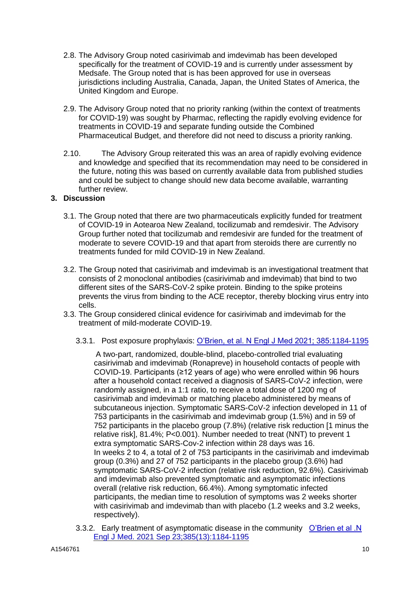- 2.8. The Advisory Group noted casirivimab and imdevimab has been developed specifically for the treatment of COVID-19 and is currently under assessment by Medsafe. The Group noted that is has been approved for use in overseas jurisdictions including Australia, Canada, Japan, the United States of America, the United Kingdom and Europe.
- 2.9. The Advisory Group noted that no priority ranking (within the context of treatments for COVID-19) was sought by Pharmac, reflecting the rapidly evolving evidence for treatments in COVID-19 and separate funding outside the Combined Pharmaceutical Budget, and therefore did not need to discuss a priority ranking.
- 2.10. The Advisory Group reiterated this was an area of rapidly evolving evidence and knowledge and specified that its recommendation may need to be considered in the future, noting this was based on currently available data from published studies and could be subject to change should new data become available, warranting further review.

### **3. Discussion**

- 3.1. The Group noted that there are two pharmaceuticals explicitly funded for treatment of COVID-19 in Aotearoa New Zealand, tocilizumab and remdesivir. The Advisory Group further noted that tocilizumab and remdesivir are funded for the treatment of moderate to severe COVID-19 and that apart from steroids there are currently no treatments funded for mild COVID-19 in New Zealand.
- 3.2. The Group noted that casirivimab and imdevimab is an investigational treatment that consists of 2 monoclonal antibodies (casirivimab and imdevimab) that bind to two different sites of the SARS-CoV-2 spike protein. Binding to the spike proteins prevents the virus from binding to the ACE receptor, thereby blocking virus entry into cells.
- 3.3. The Group considered clinical evidence for casirivimab and imdevimab for the treatment of mild-moderate COVID-19.
	- 3.3.1. Post exposure prophylaxis: [O'Brien, et al. N Engl J Med 2021; 385:1184-1195](https://www.nejm.org/doi/full/10.1056/NEJMoa2109682)

A two-part, randomized, double-blind, placebo-controlled trial evaluating casirivimab and imdevimab (Ronapreve) in household contacts of people with COVID-19. Participants (≥12 years of age) who were enrolled within 96 hours after a household contact received a diagnosis of SARS-CoV-2 infection, were randomly assigned, in a 1:1 ratio, to receive a total dose of 1200 mg of casirivimab and imdevimab or matching placebo administered by means of subcutaneous injection. Symptomatic SARS-CoV-2 infection developed in 11 of 753 participants in the casirivimab and imdevimab group (1.5%) and in 59 of 752 participants in the placebo group (7.8%) (relative risk reduction [1 minus the relative risk], 81.4%; P<0.001). Number needed to treat (NNT) to prevent 1 extra symptomatic SARS-Cov-2 infection within 28 days was 16. In weeks 2 to 4, a total of 2 of 753 participants in the casirivimab and imdevimab group (0.3%) and 27 of 752 participants in the placebo group (3.6%) had symptomatic SARS-CoV-2 infection (relative risk reduction, 92.6%). Casirivimab and imdevimab also prevented symptomatic and asymptomatic infections overall (relative risk reduction, 66.4%). Among symptomatic infected participants, the median time to resolution of symptoms was 2 weeks shorter with casirivimab and imdevimab than with placebo (1.2 weeks and 3.2 weeks, respectively).

3.3.2. Early treatment of asymptomatic disease in the community O'Brien et al .N [Engl J Med. 2021 Sep 23;385\(13\):1184-1195](https://www.nejm.org/doi/full/10.1056/NEJMoa2109682)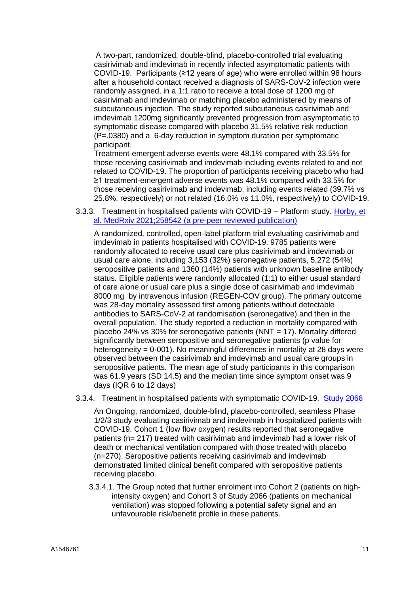A two-part, randomized, double-blind, placebo-controlled trial evaluating casirivimab and imdevimab in recently infected asymptomatic patients with COVID-19. Participants (≥12 years of age) who were enrolled within 96 hours after a household contact received a diagnosis of SARS-CoV-2 infection were randomly assigned, in a 1:1 ratio to receive a total dose of 1200 mg of casirivimab and imdevimab or matching placebo administered by means of subcutaneous injection. The study reported subcutaneous casirivimab and imdevimab 1200mg significantly prevented progression from asymptomatic to symptomatic disease compared with placebo 31.5% relative risk reduction (P=.0380) and a 6-day reduction in symptom duration per symptomatic participant.

Treatment-emergent adverse events were 48.1% compared with 33.5% for those receiving casirivimab and imdevimab including events related to and not related to COVID-19. The proportion of participants receiving placebo who had ≥1 treatment-emergent adverse events was 48.1% compared with 33.5% for those receiving casirivimab and imdevimab, including events related (39.7% vs 25.8%, respectively) or not related (16.0% vs 11.0%, respectively) to COVID-19.

3.3.3. Treatment in hospitalised patients with COVID-19 – Platform study. [Horby, et](https://www.medrxiv.org/content/10.1101/2021.06.15.21258542v1)  [al. MedRxiv 2021;258542 \(a pre-peer reviewed](https://www.medrxiv.org/content/10.1101/2021.06.15.21258542v1) publication)

A randomized, controlled, open-label platform trial evaluating casirivimab and imdevimab in patients hospitalised with COVID-19. 9785 patients were randomly allocated to receive usual care plus casirivimab and imdevimab or usual care alone, including 3,153 (32%) seronegative patients, 5,272 (54%) seropositive patients and 1360 (14%) patients with unknown baseline antibody status. Eligible patients were randomly allocated (1:1) to either usual standard of care alone or usual care plus a single dose of casirivimab and imdevimab 8000 mg by intravenous infusion (REGEN-COV group). The primary outcome was 28-day mortality assessed first among patients without detectable antibodies to SARS-CoV-2 at randomisation (seronegative) and then in the overall population. The study reported a reduction in mortality compared with placebo 24% vs 30% for seronegative patients (NNT = 17). Mortality differed significantly between seropositive and seronegative patients (p value for heterogeneity =  $0.001$ ). No meaningful differences in mortality at 28 days were observed between the casirivimab and imdevimab and usual care groups in seropositive patients. The mean age of study participants in this comparison was 61.9 years (SD 14.5) and the median time since symptom onset was 9 days (IQR 6 to 12 days)

3.3.4. Treatment in hospitalised patients with symptomatic COVID-19. [Study 2066](https://clinicaltrials.gov/ct2/show/NCT04426695?cond=NCT04426695&draw=2&rank=1)

An Ongoing, randomized, double-blind, placebo-controlled, seamless Phase 1/2/3 study evaluating casirivimab and imdevimab in hospitalized patients with COVID-19. Cohort 1 (low flow oxygen) results reported that seronegative patients (n= 217) treated with casirivimab and imdevimab had a lower risk of death or mechanical ventilation compared with those treated with placebo (n=270). Seropositive patients receiving casirivimab and imdevimab demonstrated limited clinical benefit compared with seropositive patients receiving placebo.

3.3.4.1. The Group noted that further enrolment into Cohort 2 (patients on highintensity oxygen) and Cohort 3 of Study 2066 (patients on mechanical ventilation) was stopped following a potential safety signal and an unfavourable risk/benefit profile in these patients.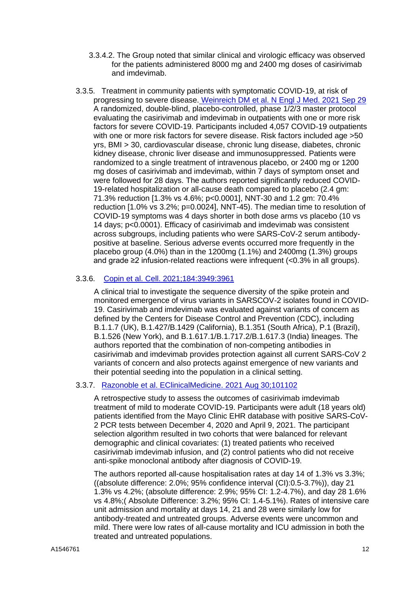- 3.3.4.2. The Group noted that similar clinical and virologic efficacy was observed for the patients administered 8000 mg and 2400 mg doses of casirivimab and imdevimab.
- 3.3.5. Treatment in community patients with symptomatic COVID-19, at risk of progressing to severe disease. [Weinreich DM et al. N Engl J Med.](https://www.nejm.org/doi/full/10.1056/NEJMoa2108163) 2021 Sep 29 A randomized, double-blind, placebo-controlled, phase 1/2/3 master protocol evaluating the casirivimab and imdevimab in outpatients with one or more risk factors for severe COVID-19. Participants included 4,057 COVID-19 outpatients with one or more risk factors for severe disease. Risk factors included age >50 yrs, BMI > 30, cardiovascular disease, chronic lung disease, diabetes, chronic kidney disease, chronic liver disease and immunosuppressed. Patients were randomized to a single treatment of intravenous placebo, or 2400 mg or 1200 mg doses of casirivimab and imdevimab, within 7 days of symptom onset and were followed for 28 days. The authors reported significantly reduced COVID-19-related hospitalization or all-cause death compared to placebo (2.4 gm: 71.3% reduction [1.3% vs 4.6%; p<0.0001], NNT-30 and 1.2 gm: 70.4% reduction [1.0% vs 3.2%; p=0.0024], NNT-45). The median time to resolution of COVID-19 symptoms was 4 days shorter in both dose arms vs placebo (10 vs 14 days; p<0.0001). Efficacy of casirivimab and imdevimab was consistent across subgroups, including patients who were SARS-CoV-2 serum antibodypositive at baseline. Serious adverse events occurred more frequently in the placebo group (4.0%) than in the 1200mg (1.1%) and 2400mg (1.3%) groups and grade ≥2 infusion-related reactions were infrequent (<0.3% in all groups).

### 3.3.6. Copin [et al. Cell. 2021;184:3949:3961](https://www.ncbi.nlm.nih.gov/pmc/articles/PMC8179113/)

A clinical trial to investigate the sequence diversity of the spike protein and monitored emergence of virus variants in SARSCOV-2 isolates found in COVID-19. Casirivimab and imdevimab was evaluated against variants of concern as defined by the Centers for Disease Control and Prevention (CDC), including B.1.1.7 (UK), B.1.427/B.1429 (California), B.1.351 (South Africa), P.1 (Brazil), B.1.526 (New York), and B.1.617.1/B.1.717.2/B.1.617.3 (India) lineages. The authors reported that the combination of non-competing antibodies in casirivimab and imdevimab provides protection against all current SARS-CoV 2 variants of concern and also protects against emergence of new variants and their potential seeding into the population in a clinical setting.

#### 3.3.7. Razonoble [et al. EClinicalMedicine. 2021 Aug 30;101102](https://www.thelancet.com/action/showPdf?pii=S2589-5370%2821%2900382-5)

A retrospective study to assess the outcomes of casirivimab imdevimab treatment of mild to moderate COVID-19. Participants were adult (18 years old) patients identified from the Mayo Clinic EHR database with positive SARS-CoV-2 PCR tests between December 4, 2020 and April 9, 2021. The participant selection algorithm resulted in two cohorts that were balanced for relevant demographic and clinical covariates: (1) treated patients who received casirivimab imdevimab infusion, and (2) control patients who did not receive anti-spike monoclonal antibody after diagnosis of COVID-19.

The authors reported all-cause hospitalisation rates at day 14 of 1.3% vs 3.3%; ((absolute difference: 2.0%; 95% confidence interval (CI):0.5-3.7%)), day 21 1.3% vs 4.2%; (absolute difference: 2.9%; 95% CI: 1.2-4.7%), and day 28 1.6% vs 4.8%;( Absolute Difference: 3.2%; 95% CI: 1.4-5.1%). Rates of intensive care unit admission and mortality at days 14, 21 and 28 were similarly low for antibody-treated and untreated groups. Adverse events were uncommon and mild. There were low rates of all-cause mortality and ICU admission in both the treated and untreated populations.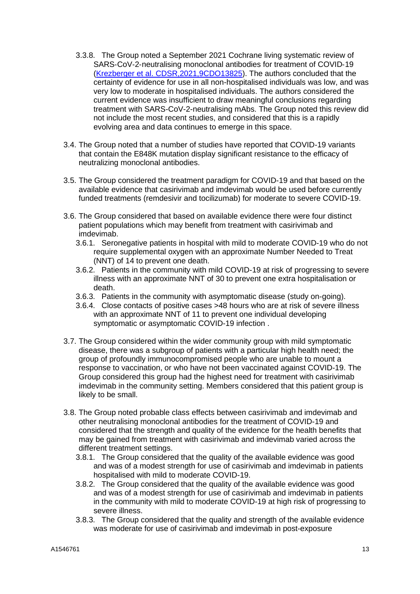- 3.3.8. The Group noted a September 2021 Cochrane living systematic review of SARS‐CoV‐2‐neutralising monoclonal antibodies for treatment of COVID‐19 [\(Krezberger et al. CDSR,2021,9CDO13825\)](https://www.cochranelibrary.com/cdsr/doi/10.1002/14651858.CD013825.pub2/full). The authors concluded that the certainty of evidence for use in all non-hospitalised individuals was low, and was very low to moderate in hospitalised individuals. The authors considered the current evidence was insufficient to draw meaningful conclusions regarding treatment with SARS-CoV-2-neutralising mAbs. The Group noted this review did not include the most recent studies, and considered that this is a rapidly evolving area and data continues to emerge in this space.
- 3.4. The Group noted that a number of studies have reported that COVID-19 variants that contain the E848K mutation display significant resistance to the efficacy of neutralizing monoclonal antibodies.
- 3.5. The Group considered the treatment paradigm for COVID-19 and that based on the available evidence that casirivimab and imdevimab would be used before currently funded treatments (remdesivir and tocilizumab) for moderate to severe COVID-19.
- 3.6. The Group considered that based on available evidence there were four distinct patient populations which may benefit from treatment with casirivimab and imdevimab.
	- 3.6.1. Seronegative patients in hospital with mild to moderate COVID-19 who do not require supplemental oxygen with an approximate Number Needed to Treat (NNT) of 14 to prevent one death.
	- 3.6.2. Patients in the community with mild COVID-19 at risk of progressing to severe illness with an approximate NNT of 30 to prevent one extra hospitalisation or death.
	- 3.6.3. Patients in the community with asymptomatic disease (study on-going).
	- 3.6.4. Close contacts of positive cases >48 hours who are at risk of severe illness with an approximate NNT of 11 to prevent one individual developing symptomatic or asymptomatic COVID-19 infection .
- 3.7. The Group considered within the wider community group with mild symptomatic disease, there was a subgroup of patients with a particular high health need; the group of profoundly immunocompromised people who are unable to mount a response to vaccination, or who have not been vaccinated against COVID-19. The Group considered this group had the highest need for treatment with casirivimab imdevimab in the community setting. Members considered that this patient group is likely to be small.
- 3.8. The Group noted probable class effects between casirivimab and imdevimab and other neutralising monoclonal antibodies for the treatment of COVID-19 and considered that the strength and quality of the evidence for the health benefits that may be gained from treatment with casirivimab and imdevimab varied across the different treatment settings.
	- 3.8.1. The Group considered that the quality of the available evidence was good and was of a modest strength for use of casirivimab and imdevimab in patients hospitalised with mild to moderate COVID-19.
	- 3.8.2. The Group considered that the quality of the available evidence was good and was of a modest strength for use of casirivimab and imdevimab in patients in the community with mild to moderate COVID-19 at high risk of progressing to severe illness.
	- 3.8.3. The Group considered that the quality and strength of the available evidence was moderate for use of casirivimab and imdevimab in post-exposure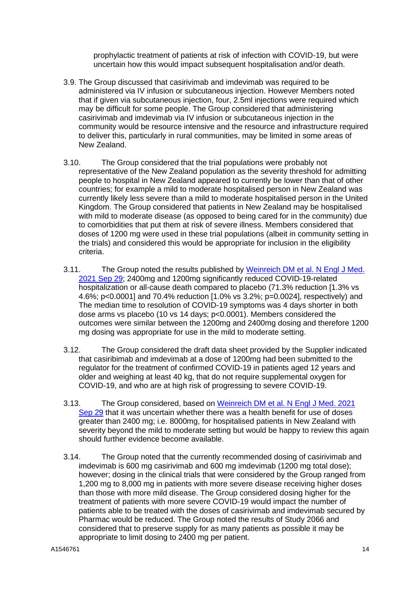prophylactic treatment of patients at risk of infection with COVID-19, but were uncertain how this would impact subsequent hospitalisation and/or death.

- 3.9. The Group discussed that casirivimab and imdevimab was required to be administered via IV infusion or subcutaneous injection. However Members noted that if given via subcutaneous injection, four, 2.5ml injections were required which may be difficult for some people. The Group considered that administering casirivimab and imdevimab via IV infusion or subcutaneous injection in the community would be resource intensive and the resource and infrastructure required to deliver this, particularly in rural communities, may be limited in some areas of New Zealand.
- 3.10. The Group considered that the trial populations were probably not representative of the New Zealand population as the severity threshold for admitting people to hospital in New Zealand appeared to currently be lower than that of other countries; for example a mild to moderate hospitalised person in New Zealand was currently likely less severe than a mild to moderate hospitalised person in the United Kingdom. The Group considered that patients in New Zealand may be hospitalised with mild to moderate disease (as opposed to being cared for in the community) due to comorbidities that put them at risk of severe illness. Members considered that doses of 1200 mg were used in these trial populations (albeit in community setting in the trials) and considered this would be appropriate for inclusion in the eligibility criteria.
- 3.11. The Group noted the results published by [Weinreich DM et al. N Engl J Med.](https://www.nejm.org/doi/full/10.1056/NEJMoa2108163)  [2021 Sep 29;](https://www.nejm.org/doi/full/10.1056/NEJMoa2108163) 2400mg and 1200mg significantly reduced COVID-19-related hospitalization or all-cause death compared to placebo (71.3% reduction [1.3% vs 4.6%; p<0.0001] and 70.4% reduction [1.0% vs 3.2%; p=0.0024], respectively) and The median time to resolution of COVID-19 symptoms was 4 days shorter in both dose arms vs placebo (10 vs 14 days; p<0.0001). Members considered the outcomes were similar between the 1200mg and 2400mg dosing and therefore 1200 mg dosing was appropriate for use in the mild to moderate setting.
- 3.12. The Group considered the draft data sheet provided by the Supplier indicated that casiribimab and imdevimab at a dose of 1200mg had been submitted to the regulator for the treatment of confirmed COVID-19 in patients aged 12 years and older and weighing at least 40 kg, that do not require supplemental oxygen for COVID-19, and who are at high risk of progressing to severe COVID-19.
- 3.13. The Group considered, based on [Weinreich DM et al. N Engl J Med. 2021](https://www.nejm.org/doi/full/10.1056/NEJMoa2108163)  [Sep 29](https://www.nejm.org/doi/full/10.1056/NEJMoa2108163) that it was uncertain whether there was a health benefit for use of doses greater than 2400 mg; i.e. 8000mg, for hospitalised patients in New Zealand with severity beyond the mild to moderate setting but would be happy to review this again should further evidence become available.
- 3.14. The Group noted that the currently recommended dosing of casirivimab and imdevimab is 600 mg casirivimab and 600 mg imdevimab (1200 mg total dose); however; dosing in the clinical trials that were considered by the Group ranged from 1,200 mg to 8,000 mg in patients with more severe disease receiving higher doses than those with more mild disease. The Group considered dosing higher for the treatment of patients with more severe COVID-19 would impact the number of patients able to be treated with the doses of casirivimab and imdevimab secured by Pharmac would be reduced. The Group noted the results of Study 2066 and considered that to preserve supply for as many patients as possible it may be appropriate to limit dosing to 2400 mg per patient.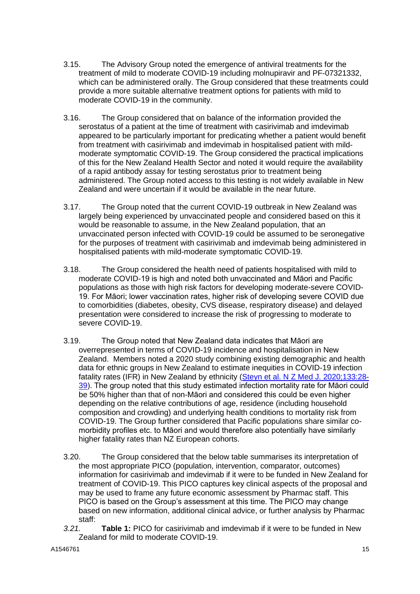- 3.15. The Advisory Group noted the emergence of antiviral treatments for the treatment of mild to moderate COVID-19 including molnupiravir and PF-07321332, which can be administered orally. The Group considered that these treatments could provide a more suitable alternative treatment options for patients with mild to moderate COVID-19 in the community.
- 3.16. The Group considered that on balance of the information provided the serostatus of a patient at the time of treatment with casirivimab and imdevimab appeared to be particularly important for predicating whether a patient would benefit from treatment with casirivimab and imdevimab in hospitalised patient with mildmoderate symptomatic COVID-19. The Group considered the practical implications of this for the New Zealand Health Sector and noted it would require the availability of a rapid antibody assay for testing serostatus prior to treatment being administered. The Group noted access to this testing is not widely available in New Zealand and were uncertain if it would be available in the near future.
- 3.17. The Group noted that the current COVID-19 outbreak in New Zealand was largely being experienced by unvaccinated people and considered based on this it would be reasonable to assume, in the New Zealand population, that an unvaccinated person infected with COVID-19 could be assumed to be seronegative for the purposes of treatment with casirivimab and imdevimab being administered in hospitalised patients with mild-moderate symptomatic COVID-19.
- 3.18. The Group considered the health need of patients hospitalised with mild to moderate COVID-19 is high and noted both unvaccinated and Māori and Pacific populations as those with high risk factors for developing moderate-severe COVID-19. For Māori; lower vaccination rates, higher risk of developing severe COVID due to comorbidities (diabetes, obesity, CVS disease, respiratory disease) and delayed presentation were considered to increase the risk of progressing to moderate to severe COVID-19.
- 3.19. The Group noted that New Zealand data indicates that Māori are overrepresented in terms of COVID-19 incidence and hospitalisation in New Zealand. Members noted a 2020 study combining existing demographic and health data for ethnic groups in New Zealand to estimate inequities in COVID-19 infection fatality rates (IFR) in New Zealand by ethnicity (Steyn et al. N [Z Med J. 2020;133:28-](https://pubmed.ncbi.nlm.nih.gov/32994635/) [39\)](https://pubmed.ncbi.nlm.nih.gov/32994635/). The group noted that this study estimated infection mortality rate for Māori could be 50% higher than that of non-Māori and considered this could be even higher depending on the relative contributions of age, residence (including household composition and crowding) and underlying health conditions to mortality risk from COVID-19. The Group further considered that Pacific populations share similar comorbidity profiles etc. to Māori and would therefore also potentially have similarly higher fatality rates than NZ European cohorts.
- 3.20. The Group considered that the below table summarises its interpretation of the most appropriate PICO (population, intervention, comparator, outcomes) information for casirivimab and imdevimab if it were to be funded in New Zealand for treatment of COVID-19. This PICO captures key clinical aspects of the proposal and may be used to frame any future economic assessment by Pharmac staff. This PICO is based on the Group's assessment at this time. The PICO may change based on new information, additional clinical advice, or further analysis by Pharmac staff:
- *3.21.* **Table 1:** PICO for casirivimab and imdevimab if it were to be funded in New Zealand for mild to moderate COVID-19.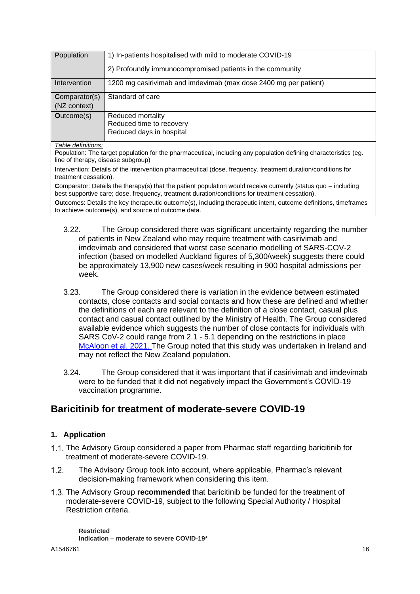| Population           | 1) In-patients hospitalised with mild to moderate COVID-19       |
|----------------------|------------------------------------------------------------------|
|                      | 2) Profoundly immunocompromised patients in the community        |
| <b>Intervention</b>  | 1200 mg casirivimab and imdevimab (max dose 2400 mg per patient) |
| <b>Comparator(s)</b> | Standard of care                                                 |
| (NZ context)         |                                                                  |
| <b>Outcome(s)</b>    | Reduced mortality                                                |
|                      | Reduced time to recovery                                         |
|                      | Reduced days in hospital                                         |

*Table definitions:* 

**P**opulation: The target population for the pharmaceutical, including any population defining characteristics (eg. line of therapy, disease subgroup)

**I**ntervention: Details of the intervention pharmaceutical (dose, frequency, treatment duration/conditions for treatment cessation).

**C**omparator: Details the therapy(s) that the patient population would receive currently (status quo – including best supportive care; dose, frequency, treatment duration/conditions for treatment cessation).

**O**utcomes: Details the key therapeutic outcome(s), including therapeutic intent, outcome definitions, timeframes to achieve outcome(s), and source of outcome data.

- 3.22. The Group considered there was significant uncertainty regarding the number of patients in New Zealand who may require treatment with casirivimab and imdevimab and considered that worst case scenario modelling of SARS-COV-2 infection (based on modelled Auckland figures of 5,300/week) suggests there could be approximately 13,900 new cases/week resulting in 900 hospital admissions per week.
- 3.23. The Group considered there is variation in the evidence between estimated contacts, close contacts and social contacts and how these are defined and whether the definitions of each are relevant to the definition of a close contact, casual plus contact and casual contact outlined by the Ministry of Health. The Group considered available evidence which suggests the number of close contacts for individuals with SARS CoV-2 could range from 2.1 - 5.1 depending on the restrictions in place [McAloon et al, 2021.](https://www.medrxiv.org/content/10.1101/2021.01.20.21250109v1.full) The Group noted that this study was undertaken in Ireland and may not reflect the New Zealand population.
- 3.24. The Group considered that it was important that if casirivimab and imdevimab were to be funded that it did not negatively impact the Government's COVID-19 vaccination programme.

## **Baricitinib for treatment of moderate-severe COVID-19**

### **1. Application**

- 1.1. The Advisory Group considered a paper from Pharmac staff regarding baricitinib for treatment of moderate-severe COVID-19.
- $1.2<sub>1</sub>$ The Advisory Group took into account, where applicable, Pharmac's relevant decision-making framework when considering this item.
- The Advisory Group **recommended** that baricitinib be funded for the treatment of moderate-severe COVID-19, subject to the following Special Authority / Hospital Restriction criteria.

**Restricted Indication – moderate to severe COVID-19\***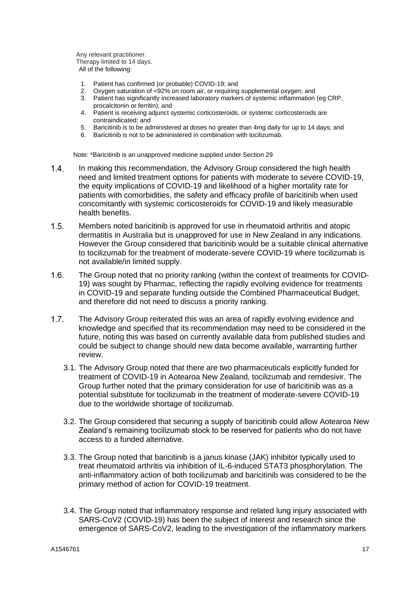Any relevant practitioner. Therapy limited to 14 days. All of the following:

- 1. Patient has confirmed (or probable) COVID-19; and
- 2. Oxygen saturation of <92% on room air, or requiring supplemental oxygen; and
- 3. Patient has significantly increased laboratory markers of systemic inflammation (eg CRP, procalcitonin or ferritin); and
- 4. Patient is receiving adjunct systemic corticosteroids, or systemic corticosteroids are contraindicated; and
- 5. Baricitinib is to be administered at doses no greater than 4mg daily for up to 14 days; and
- 6. Baricitinib is not to be administered in combination with tocilizumab.

Note: \*Baricitinib is an unapproved medicine supplied under Section 29

- In making this recommendation, the Advisory Group considered the high health  $1.4.$ need and limited treatment options for patients with moderate to severe COVID-19, the equity implications of COVID-19 and likelihood of a higher mortality rate for patients with comorbidities, the safety and efficacy profile of baricitinib when used concomitantly with systemic corticosteroids for COVID-19 and likely measurable health benefits.
- $1.5.$ Members noted baricitinib is approved for use in rheumatoid arthritis and atopic dermatitis in Australia but is unapproved for use in New Zealand in any indications. However the Group considered that baricitinib would be a suitable clinical alternative to tocilizumab for the treatment of moderate-severe COVID-19 where tocilizumab is not available/in limited supply.
- $1.6.$ The Group noted that no priority ranking (within the context of treatments for COVID-19) was sought by Pharmac, reflecting the rapidly evolving evidence for treatments in COVID-19 and separate funding outside the Combined Pharmaceutical Budget, and therefore did not need to discuss a priority ranking.
- $1.7<sub>1</sub>$ The Advisory Group reiterated this was an area of rapidly evolving evidence and knowledge and specified that its recommendation may need to be considered in the future, noting this was based on currently available data from published studies and could be subject to change should new data become available, warranting further review.
	- 3.1. The Advisory Group noted that there are two pharmaceuticals explicitly funded for treatment of COVID-19 in Aotearoa New Zealand, tocilizumab and remdesivir. The Group further noted that the primary consideration for use of baricitinib was as a potential substitute for tocilizumab in the treatment of moderate-severe COVID-19 due to the worldwide shortage of tocilizumab.
	- 3.2. The Group considered that securing a supply of baricitinib could allow Aotearoa New Zealand's remaining tocilizumab stock to be reserved for patients who do not have access to a funded alternative.
	- 3.3. The Group noted that baricitinib is a janus kinase (JAK) inhibitor typically used to treat rheumatoid arthritis via inhibition of IL-6-induced STAT3 phosphorylation. The anti-inflammatory action of both tocilizumab and baricitinib was considered to be the primary method of action for COVID-19 treatment.
	- 3.4. The Group noted that inflammatory response and related lung injury associated with SARS-CoV2 (COVID-19) has been the subject of interest and research since the emergence of SARS-CoV2, leading to the investigation of the inflammatory markers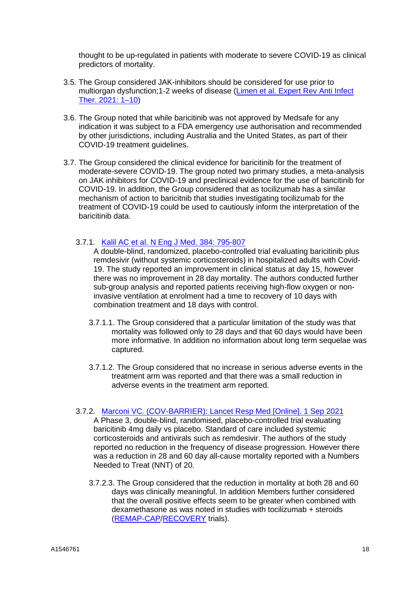thought to be up-regulated in patients with moderate to severe COVID-19 as clinical predictors of mortality.

- 3.5. The Group considered JAK-inhibitors should be considered for use prior to multiorgan dysfunction;1-2 weeks of disease [\(Limen et al. Expert Rev Anti](https://www.ncbi.nlm.nih.gov/pmc/articles/PMC8500309/) Infect [Ther. 2021: 1–10\)](https://www.ncbi.nlm.nih.gov/pmc/articles/PMC8500309/)
- 3.6. The Group noted that while baricitinib was not approved by Medsafe for any indication it was subject to a FDA emergency use authorisation and recommended by other jurisdictions, including Australia and the United States, as part of their COVID-19 treatment guidelines.
- 3.7. The Group considered the clinical evidence for baricitinib for the treatment of moderate-severe COVID-19. The group noted two primary studies, a meta-analysis on JAK inhibitors for COVID-19 and preclinical evidence for the use of baricitinib for COVID-19. In addition, the Group considered that as tocilizumab has a similar mechanism of action to baricitnib that studies investigating tocilizumab for the treatment of COVID-19 could be used to cautiously inform the interpretation of the baricitinib data.
	- 3.7.1. Kalil AC et al. N Eng J Med. [384: 795-807](https://pubmed.ncbi.nlm.nih.gov/33306283/)

A double-blind, randomized, placebo-controlled trial evaluating baricitinib plus remdesivir (without systemic corticosteroids) in hospitalized adults with Covid-19. The study reported an improvement in clinical status at day 15, however there was no improvement in 28 day mortality. The authors conducted further sub-group analysis and reported patients receiving high-flow oxygen or noninvasive ventilation at enrolment had a time to recovery of 10 days with combination treatment and 18 days with control.

- 3.7.1.1. The Group considered that a particular limitation of the study was that mortality was followed only to 28 days and that 60 days would have been more informative. In addition no information about long term sequelae was captured.
- 3.7.1.2. The Group considered that no increase in serious adverse events in the treatment arm was reported and that there was a small reduction in adverse events in the treatment arm reported.

#### 3.7.2. [Marconi VC. \(COV-BARRIER\): Lancet Resp Med](https://www.thelancet.com/journals/lanres/article/PIIS2213-2600(21)00331-3/fulltext) [Online]. 1 Sep 2021

A Phase 3, double-blind, randomised, placebo-controlled trial evaluating baricitinib 4mg daily vs placebo. Standard of care included systemic corticosteroids and antivirals such as remdesivir. The authors of the study reported no reduction in the frequency of disease progression. However there was a reduction in 28 and 60 day all-cause mortality reported with a Numbers Needed to Treat (NNT) of 20.

3.7.2.3. The Group considered that the reduction in mortality at both 28 and 60 days was clinically meaningful. In addition Members further considered that the overall positive effects seem to be greater when combined with dexamethasone as was noted in studies with tocilizumab + steroids [\(REMAP-CAP](https://www.nejm.org/doi/full/10.1056/NEJMoa2100433)[/RECOVERY](https://www.thelancet.com/journals/lancet/article/PIIS0140-6736(21)00676-0/fulltext) trials).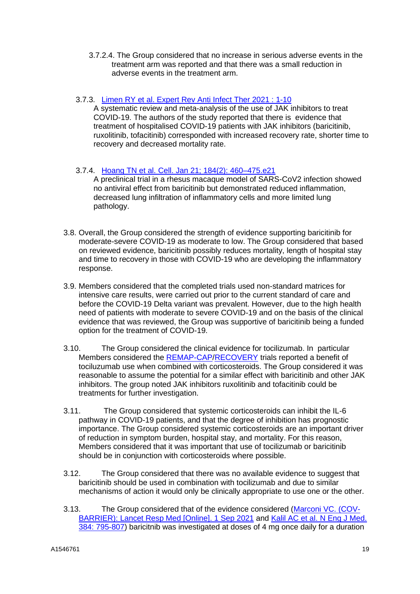- 3.7.2.4. The Group considered that no increase in serious adverse events in the treatment arm was reported and that there was a small reduction in adverse events in the treatment arm.
- 3.7.3. [Limen RY et al. Expert](https://www.ncbi.nlm.nih.gov/pmc/articles/PMC8500309/) Rev Anti Infect Ther 2021 : 1-10

A systematic review and meta-analysis of the use of JAK inhibitors to treat COVID-19. The authors of the study reported that there is evidence that treatment of hospitalised COVID-19 patients with JAK inhibitors (baricitinib, ruxolitinib, tofacitinib) corresponded with increased recovery rate, shorter time to recovery and decreased mortality rate.

3.7.4. [Hoang TN et al. Cell. Jan 21; 184\(2\): 460–475.e21](https://www.ncbi.nlm.nih.gov/pmc/articles/PMC7654323/)

A preclinical trial in a rhesus macaque model of SARS-CoV2 infection showed no antiviral effect from baricitinib but demonstrated reduced inflammation, decreased lung infiltration of inflammatory cells and more limited lung pathology.

- 3.8. Overall, the Group considered the strength of evidence supporting baricitinib for moderate-severe COVID-19 as moderate to low. The Group considered that based on reviewed evidence, baricitinib possibly reduces mortality, length of hospital stay and time to recovery in those with COVID-19 who are developing the inflammatory response.
- 3.9. Members considered that the completed trials used non-standard matrices for intensive care results, were carried out prior to the current standard of care and before the COVID-19 Delta variant was prevalent. However, due to the high health need of patients with moderate to severe COVID-19 and on the basis of the clinical evidence that was reviewed, the Group was supportive of baricitinib being a funded option for the treatment of COVID-19.
- 3.10. The Group considered the clinical evidence for tocilizumab. In particular Members considered the [REMAP-CAP](https://www.nejm.org/doi/full/10.1056/NEJMoa2100433)[/RECOVERY](https://www.thelancet.com/journals/lancet/article/PIIS0140-6736(21)00676-0/fulltext) trials reported a benefit of tociluzumab use when combined with corticosteroids. The Group considered it was reasonable to assume the potential for a similar effect with baricitinib and other JAK inhibitors. The group noted JAK inhibitors ruxolitinib and tofacitinib could be treatments for further investigation.
- 3.11. The Group considered that systemic corticosteroids can inhibit the IL-6 pathway in COVID-19 patients, and that the degree of inhibition has prognostic importance. The Group considered systemic corticosteroids are an important driver of reduction in symptom burden, hospital stay, and mortality. For this reason, Members considered that it was important that use of tocilizumab or baricitinib should be in conjunction with corticosteroids where possible.
- 3.12. The Group considered that there was no available evidence to suggest that baricitinib should be used in combination with tocilizumab and due to similar mechanisms of action it would only be clinically appropriate to use one or the other.
- 3.13. The Group considered that of the evidence considered [\(Marconi VC. \(COV-](https://www.thelancet.com/journals/lanres/article/PIIS2213-2600(21)00331-3/fulltext)[BARRIER\): Lancet Resp Med](https://www.thelancet.com/journals/lanres/article/PIIS2213-2600(21)00331-3/fulltext) [Online]. 1 Sep 2021 and [Kalil AC](https://pubmed.ncbi.nlm.nih.gov/33306283/) et al. N Eng J Med. [384: 795-807\)](https://pubmed.ncbi.nlm.nih.gov/33306283/) baricitnib was investigated at doses of 4 mg once daily for a duration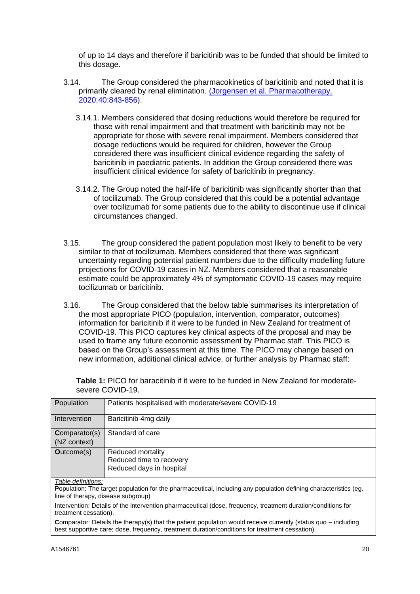of up to 14 days and therefore if baricitinib was to be funded that should be limited to this dosage.

- 3.14. The Group considered the pharmacokinetics of baricitinib and noted that it is primarily cleared by renal elimination. [\(Jorgensen et al. Pharmacotherapy.](https://pubmed.ncbi.nlm.nih.gov/32542785/)  [2020;40:843-856\)](https://pubmed.ncbi.nlm.nih.gov/32542785/).
	- 3.14.1. Members considered that dosing reductions would therefore be required for those with renal impairment and that treatment with baricitinib may not be appropriate for those with severe renal impairment. Members considered that dosage reductions would be required for children, however the Group considered there was insufficient clinical evidence regarding the safety of baricitinib in paediatric patients. In addition the Group considered there was insufficient clinical evidence for safety of baricitinib in pregnancy.
	- 3.14.2. The Group noted the half-life of baricitinib was significantly shorter than that of tocilizumab. The Group considered that this could be a potential advantage over tocilizumab for some patients due to the ability to discontinue use if clinical circumstances changed.
- 3.15. The group considered the patient population most likely to benefit to be very similar to that of tocilizumab. Members considered that there was significant uncertainty regarding potential patient numbers due to the difficulty modelling future projections for COVID-19 cases in NZ. Members considered that a reasonable estimate could be approximately 4% of symptomatic COVID-19 cases may require tocilizumab or baricitinib.
- 3.16. The Group considered that the below table summarises its interpretation of the most appropriate PICO (population, intervention, comparator, outcomes) information for baricitinib if it were to be funded in New Zealand for treatment of COVID-19. This PICO captures key clinical aspects of the proposal and may be used to frame any future economic assessment by Pharmac staff. This PICO is based on the Group's assessment at this time. The PICO may change based on new information, additional clinical advice, or further analysis by Pharmac staff:

**Table 1:** PICO for baracitinib if it were to be funded in New Zealand for moderatesevere COVID-19.

| <b>P</b> opulation                                                                                                                                                                                               | Patients hospitalised with moderate/severe COVID-19 |
|------------------------------------------------------------------------------------------------------------------------------------------------------------------------------------------------------------------|-----------------------------------------------------|
| Intervention                                                                                                                                                                                                     | Baricitinib 4mg daily                               |
| <b>Comparator(s)</b>                                                                                                                                                                                             | Standard of care                                    |
| (NZ context)                                                                                                                                                                                                     |                                                     |
| <b>Outcome(s)</b>                                                                                                                                                                                                | Reduced mortality                                   |
|                                                                                                                                                                                                                  | Reduced time to recovery                            |
|                                                                                                                                                                                                                  | Reduced days in hospital                            |
| Table definitions:                                                                                                                                                                                               |                                                     |
| Population: The target population for the pharmaceutical, including any population defining characteristics (eg.<br>line of therapy, disease subgroup)                                                           |                                                     |
| Intervention: Details of the intervention pharmaceutical (dose, frequency, treatment duration/conditions for<br>treatment cessation).                                                                            |                                                     |
| Comparator: Details the therapy(s) that the patient population would receive currently (status quo – including<br>best supportive care; dose, frequency, treatment duration/conditions for treatment cessation). |                                                     |